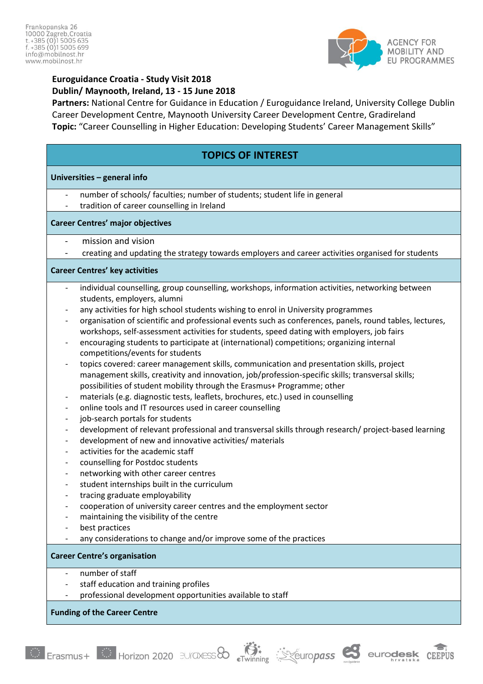

## **Euroguidance Croatia - Study Visit 2018 Dublin/ Maynooth, Ireland, 13 - 15 June 2018**

**Partners:** National Centre for Guidance in Education / Euroguidance Ireland, University College Dublin Career Development Centre, Maynooth University Career Development Centre, Gradireland **Topic:** "Career Counselling in Higher Education: Developing Students' Career Management Skills"

# **TOPICS OF INTEREST**

#### **Universities – general info**

- number of schools/ faculties; number of students; student life in general
- tradition of career counselling in Ireland

#### **Career Centres' major objectives**

- mission and vision
- creating and updating the strategy towards employers and career activities organised for students

#### **Career Centres' key activities**

- individual counselling, group counselling, workshops, information activities, networking between students, employers, alumni
- any activities for high school students wishing to enrol in University programmes
- organisation of scientific and professional events such as conferences, panels, round tables, lectures, workshops, self-assessment activities for students, speed dating with employers, job fairs
- encouraging students to participate at (international) competitions; organizing internal competitions/events for students
- topics covered: career management skills, communication and presentation skills, project management skills, creativity and innovation, job/profession-specific skills; transversal skills; possibilities of student mobility through the Erasmus+ Programme; other
- materials (e.g. diagnostic tests, leaflets, brochures, etc.) used in counselling
- online tools and IT resources used in career counselling
- job-search portals for students
- development of relevant professional and transversal skills through research/ project-based learning
- development of new and innovative activities/ materials
- activities for the academic staff
- counselling for Postdoc students
- networking with other career centres
- student internships built in the curriculum
- tracing graduate employability
- cooperation of university career centres and the employment sector
- maintaining the visibility of the centre
- best practices
- any considerations to change and/or improve some of the practices

## **Career Centre's organisation**

- number of staff
- staff education and training profiles
- professional development opportunities available to staff

## **Funding of the Career Centre**





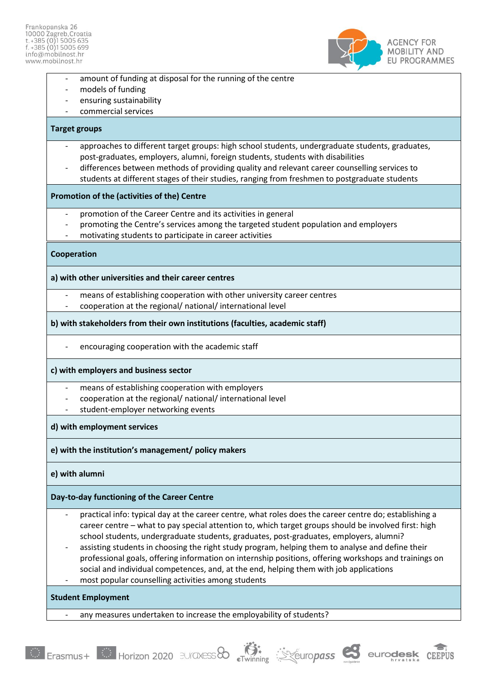

- amount of funding at disposal for the running of the centre
- models of funding
- ensuring sustainability
- commercial services

#### **Target groups**

- approaches to different target groups: high school students, undergraduate students, graduates, post-graduates, employers, alumni, foreign students, students with disabilities
- differences between methods of providing quality and relevant career counselling services to students at different stages of their studies, ranging from freshmen to postgraduate students

#### **Promotion of the (activities of the) Centre**

- promotion of the Career Centre and its activities in general
- promoting the Centre's services among the targeted student population and employers
- motivating students to participate in career activities

#### **Cooperation**

#### **a) with other universities and their career centres**

- means of establishing cooperation with other university career centres
- cooperation at the regional/ national/ international level

#### **b) with stakeholders from their own institutions (faculties, academic staff)**

encouraging cooperation with the academic staff

## **c) with employers and business sector**

- means of establishing cooperation with employers
- cooperation at the regional/ national/ international level
- student-employer networking events

## **d) with employment services**

## **e) with the institution's management/ policy makers**

## **e) with alumni**

## **Day-to-day functioning of the Career Centre**

- practical info: typical day at the career centre, what roles does the career centre do; establishing a career centre – what to pay special attention to, which target groups should be involved first: high school students, undergraduate students, graduates, post-graduates, employers, alumni?
- assisting students in choosing the right study program, helping them to analyse and define their professional goals, offering information on internship positions, offering workshops and trainings on social and individual competences, and, at the end, helping them with job applications
- most popular counselling activities among students

## **Student Employment**

any measures undertaken to increase the employability of students?